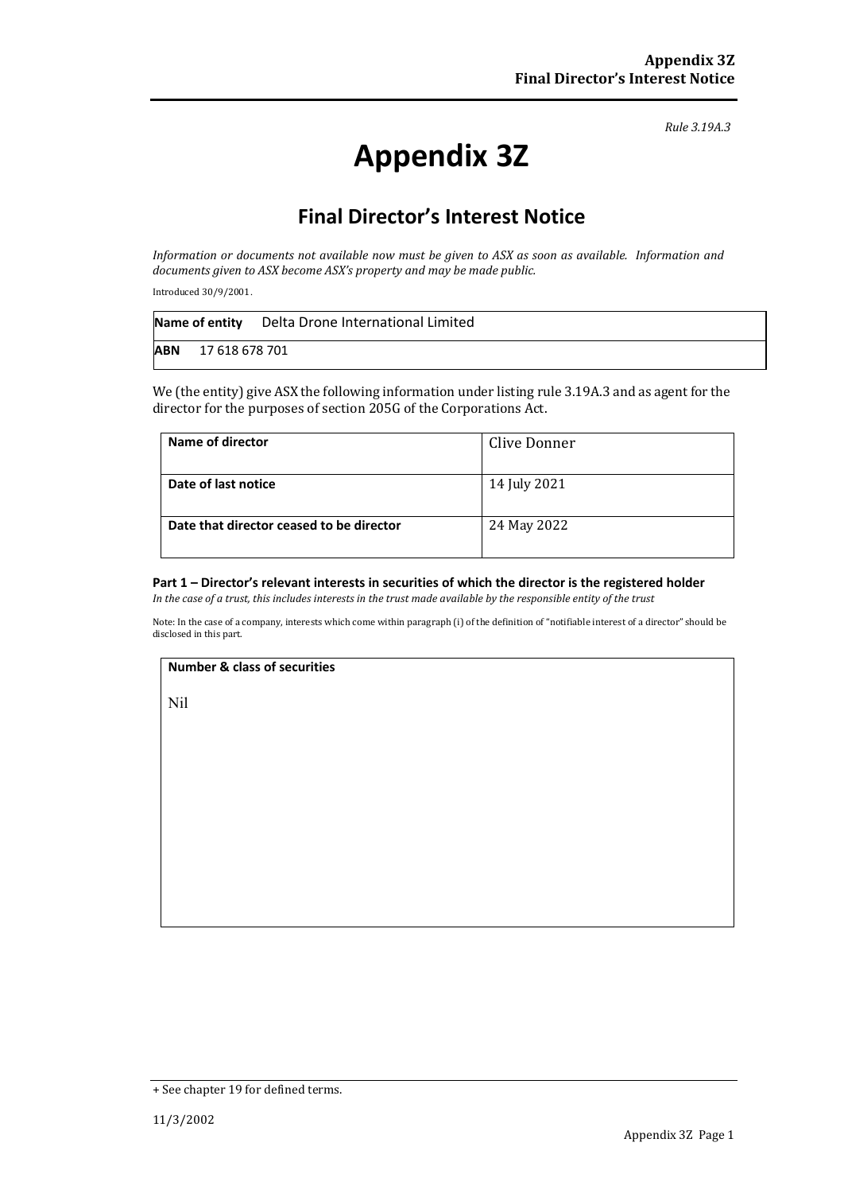*Rule 3.19A.3*

# **Appendix 3Z**

## **Final Director's Interest Notice**

*Information or documents not available now must be given to ASX as soon as available. Information and documents given to ASX become ASX's property and may be made public.*

Introduced 30/9/2001.

|            | Name of entity | Delta Drone International Limited |
|------------|----------------|-----------------------------------|
| <b>ABN</b> | 17 618 678 701 |                                   |

We (the entity) give ASX the following information under listing rule 3.19A.3 and as agent for the director for the purposes of section 205G of the Corporations Act.

| Name of director                         | Clive Donner |
|------------------------------------------|--------------|
| Date of last notice                      | 14 July 2021 |
| Date that director ceased to be director | 24 May 2022  |

#### **Part 1 – Director's relevant interests in securities of which the director is the registered holder**

*In the case of a trust, this includes interests in the trust made available by the responsible entity of the trust*

Note: In the case of a company, interests which come within paragraph (i) of the definition of "notifiable interest of a director" should be disclosed in this part.

#### **Number & class of securities**

Nil

<sup>+</sup> See chapter 19 for defined terms.